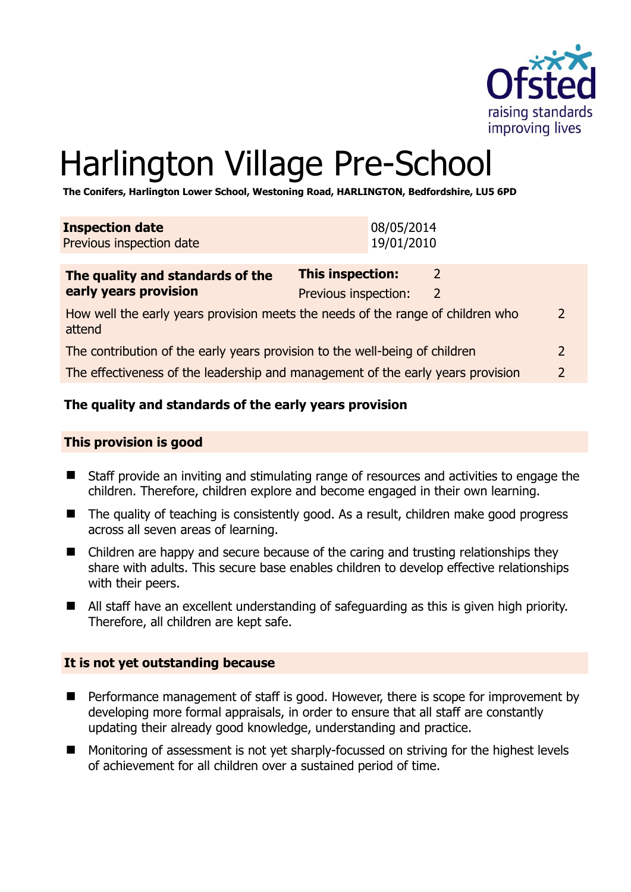

# Harlington Village Pre-School

**The Conifers, Harlington Lower School, Westoning Road, HARLINGTON, Bedfordshire, LU5 6PD** 

| <b>Inspection date</b><br>Previous inspection date                                        |                         | 08/05/2014<br>19/01/2010 |               |  |
|-------------------------------------------------------------------------------------------|-------------------------|--------------------------|---------------|--|
| The quality and standards of the                                                          | <b>This inspection:</b> |                          | $\mathcal{L}$ |  |
| early years provision                                                                     | Previous inspection:    |                          | 2             |  |
| How well the early years provision meets the needs of the range of children who<br>attend |                         |                          |               |  |
| The contribution of the early years provision to the well-being of children               |                         |                          |               |  |
| The effectiveness of the leadership and management of the early years provision           |                         |                          |               |  |

# **The quality and standards of the early years provision**

#### **This provision is good**

- Staff provide an inviting and stimulating range of resources and activities to engage the children. Therefore, children explore and become engaged in their own learning.
- The quality of teaching is consistently good. As a result, children make good progress across all seven areas of learning.
- Children are happy and secure because of the caring and trusting relationships they share with adults. This secure base enables children to develop effective relationships with their peers.
- All staff have an excellent understanding of safeguarding as this is given high priority. Therefore, all children are kept safe.

#### **It is not yet outstanding because**

- Performance management of staff is good. However, there is scope for improvement by developing more formal appraisals, in order to ensure that all staff are constantly updating their already good knowledge, understanding and practice.
- Monitoring of assessment is not yet sharply-focussed on striving for the highest levels of achievement for all children over a sustained period of time.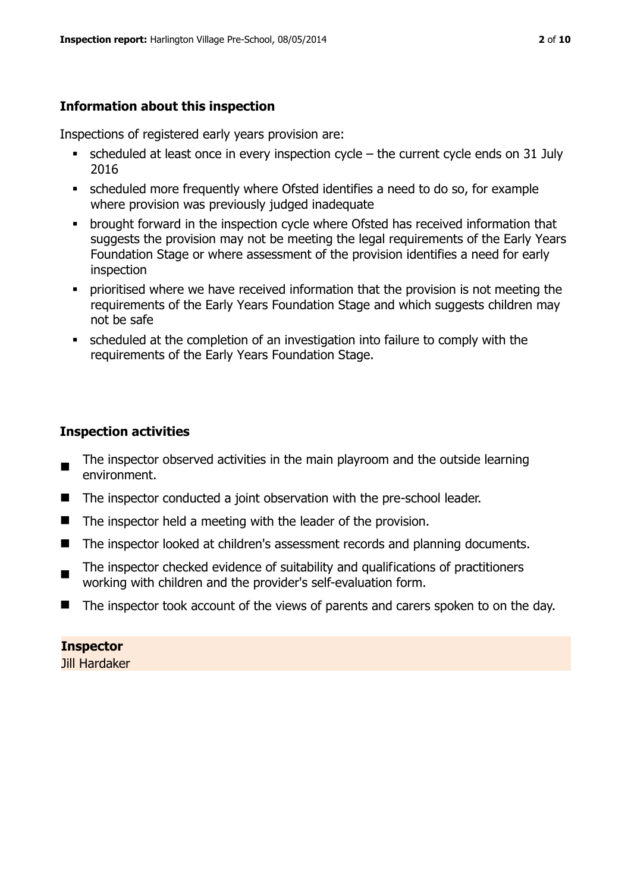# **Information about this inspection**

Inspections of registered early years provision are:

- scheduled at least once in every inspection cycle the current cycle ends on 31 July 2016
- scheduled more frequently where Ofsted identifies a need to do so, for example where provision was previously judged inadequate
- **•** brought forward in the inspection cycle where Ofsted has received information that suggests the provision may not be meeting the legal requirements of the Early Years Foundation Stage or where assessment of the provision identifies a need for early inspection
- **•** prioritised where we have received information that the provision is not meeting the requirements of the Early Years Foundation Stage and which suggests children may not be safe
- scheduled at the completion of an investigation into failure to comply with the requirements of the Early Years Foundation Stage.

# **Inspection activities**

- The inspector observed activities in the main playroom and the outside learning environment.
- The inspector conducted a joint observation with the pre-school leader.
- $\blacksquare$  The inspector held a meeting with the leader of the provision.
- The inspector looked at children's assessment records and planning documents.
- The inspector checked evidence of suitability and qualifications of practitioners working with children and the provider's self-evaluation form.
- The inspector took account of the views of parents and carers spoken to on the day.

#### **Inspector**

Jill Hardaker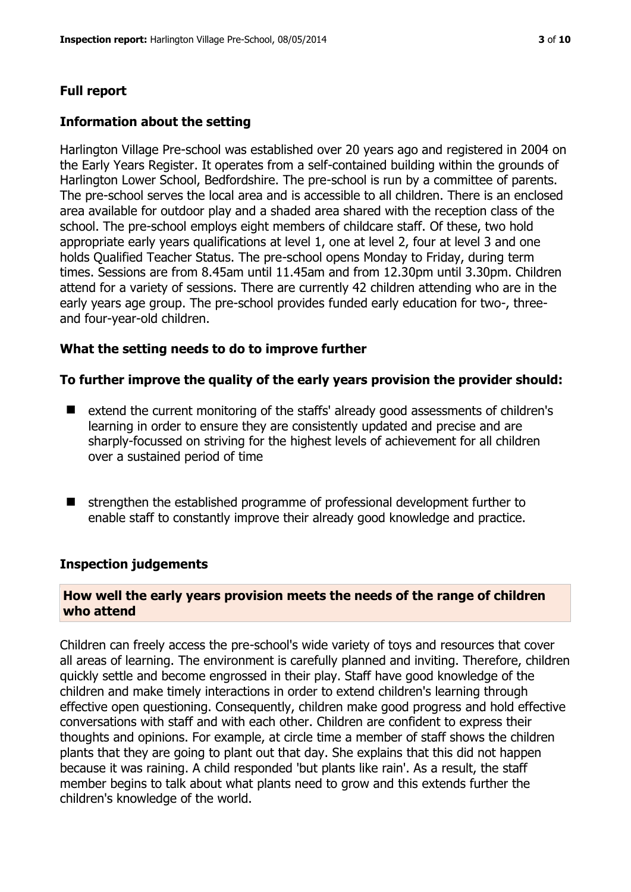#### **Full report**

#### **Information about the setting**

Harlington Village Pre-school was established over 20 years ago and registered in 2004 on the Early Years Register. It operates from a self-contained building within the grounds of Harlington Lower School, Bedfordshire. The pre-school is run by a committee of parents. The pre-school serves the local area and is accessible to all children. There is an enclosed area available for outdoor play and a shaded area shared with the reception class of the school. The pre-school employs eight members of childcare staff. Of these, two hold appropriate early years qualifications at level 1, one at level 2, four at level 3 and one holds Qualified Teacher Status. The pre-school opens Monday to Friday, during term times. Sessions are from 8.45am until 11.45am and from 12.30pm until 3.30pm. Children attend for a variety of sessions. There are currently 42 children attending who are in the early years age group. The pre-school provides funded early education for two-, threeand four-year-old children.

#### **What the setting needs to do to improve further**

#### **To further improve the quality of the early years provision the provider should:**

- extend the current monitoring of the staffs' already good assessments of children's learning in order to ensure they are consistently updated and precise and are sharply-focussed on striving for the highest levels of achievement for all children over a sustained period of time
- strengthen the established programme of professional development further to enable staff to constantly improve their already good knowledge and practice.

#### **Inspection judgements**

#### **How well the early years provision meets the needs of the range of children who attend**

Children can freely access the pre-school's wide variety of toys and resources that cover all areas of learning. The environment is carefully planned and inviting. Therefore, children quickly settle and become engrossed in their play. Staff have good knowledge of the children and make timely interactions in order to extend children's learning through effective open questioning. Consequently, children make good progress and hold effective conversations with staff and with each other. Children are confident to express their thoughts and opinions. For example, at circle time a member of staff shows the children plants that they are going to plant out that day. She explains that this did not happen because it was raining. A child responded 'but plants like rain'. As a result, the staff member begins to talk about what plants need to grow and this extends further the children's knowledge of the world.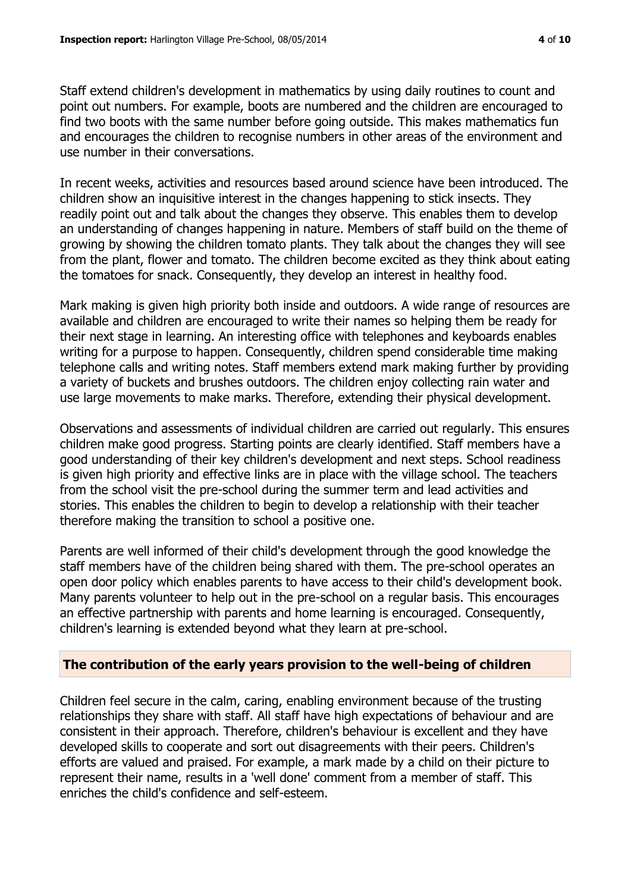Staff extend children's development in mathematics by using daily routines to count and point out numbers. For example, boots are numbered and the children are encouraged to find two boots with the same number before going outside. This makes mathematics fun and encourages the children to recognise numbers in other areas of the environment and use number in their conversations.

In recent weeks, activities and resources based around science have been introduced. The children show an inquisitive interest in the changes happening to stick insects. They readily point out and talk about the changes they observe. This enables them to develop an understanding of changes happening in nature. Members of staff build on the theme of growing by showing the children tomato plants. They talk about the changes they will see from the plant, flower and tomato. The children become excited as they think about eating the tomatoes for snack. Consequently, they develop an interest in healthy food.

Mark making is given high priority both inside and outdoors. A wide range of resources are available and children are encouraged to write their names so helping them be ready for their next stage in learning. An interesting office with telephones and keyboards enables writing for a purpose to happen. Consequently, children spend considerable time making telephone calls and writing notes. Staff members extend mark making further by providing a variety of buckets and brushes outdoors. The children enjoy collecting rain water and use large movements to make marks. Therefore, extending their physical development.

Observations and assessments of individual children are carried out regularly. This ensures children make good progress. Starting points are clearly identified. Staff members have a good understanding of their key children's development and next steps. School readiness is given high priority and effective links are in place with the village school. The teachers from the school visit the pre-school during the summer term and lead activities and stories. This enables the children to begin to develop a relationship with their teacher therefore making the transition to school a positive one.

Parents are well informed of their child's development through the good knowledge the staff members have of the children being shared with them. The pre-school operates an open door policy which enables parents to have access to their child's development book. Many parents volunteer to help out in the pre-school on a regular basis. This encourages an effective partnership with parents and home learning is encouraged. Consequently, children's learning is extended beyond what they learn at pre-school.

#### **The contribution of the early years provision to the well-being of children**

Children feel secure in the calm, caring, enabling environment because of the trusting relationships they share with staff. All staff have high expectations of behaviour and are consistent in their approach. Therefore, children's behaviour is excellent and they have developed skills to cooperate and sort out disagreements with their peers. Children's efforts are valued and praised. For example, a mark made by a child on their picture to represent their name, results in a 'well done' comment from a member of staff. This enriches the child's confidence and self-esteem.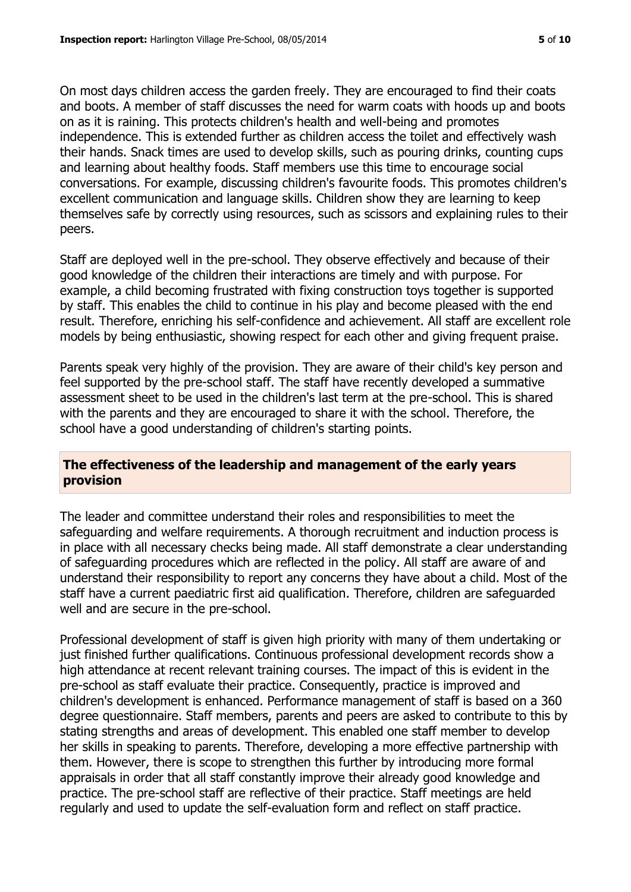On most days children access the garden freely. They are encouraged to find their coats and boots. A member of staff discusses the need for warm coats with hoods up and boots on as it is raining. This protects children's health and well-being and promotes independence. This is extended further as children access the toilet and effectively wash their hands. Snack times are used to develop skills, such as pouring drinks, counting cups and learning about healthy foods. Staff members use this time to encourage social conversations. For example, discussing children's favourite foods. This promotes children's excellent communication and language skills. Children show they are learning to keep themselves safe by correctly using resources, such as scissors and explaining rules to their peers.

Staff are deployed well in the pre-school. They observe effectively and because of their good knowledge of the children their interactions are timely and with purpose. For example, a child becoming frustrated with fixing construction toys together is supported by staff. This enables the child to continue in his play and become pleased with the end result. Therefore, enriching his self-confidence and achievement. All staff are excellent role models by being enthusiastic, showing respect for each other and giving frequent praise.

Parents speak very highly of the provision. They are aware of their child's key person and feel supported by the pre-school staff. The staff have recently developed a summative assessment sheet to be used in the children's last term at the pre-school. This is shared with the parents and they are encouraged to share it with the school. Therefore, the school have a good understanding of children's starting points.

# **The effectiveness of the leadership and management of the early years provision**

The leader and committee understand their roles and responsibilities to meet the safeguarding and welfare requirements. A thorough recruitment and induction process is in place with all necessary checks being made. All staff demonstrate a clear understanding of safeguarding procedures which are reflected in the policy. All staff are aware of and understand their responsibility to report any concerns they have about a child. Most of the staff have a current paediatric first aid qualification. Therefore, children are safeguarded well and are secure in the pre-school.

Professional development of staff is given high priority with many of them undertaking or just finished further qualifications. Continuous professional development records show a high attendance at recent relevant training courses. The impact of this is evident in the pre-school as staff evaluate their practice. Consequently, practice is improved and children's development is enhanced. Performance management of staff is based on a 360 degree questionnaire. Staff members, parents and peers are asked to contribute to this by stating strengths and areas of development. This enabled one staff member to develop her skills in speaking to parents. Therefore, developing a more effective partnership with them. However, there is scope to strengthen this further by introducing more formal appraisals in order that all staff constantly improve their already good knowledge and practice. The pre-school staff are reflective of their practice. Staff meetings are held regularly and used to update the self-evaluation form and reflect on staff practice.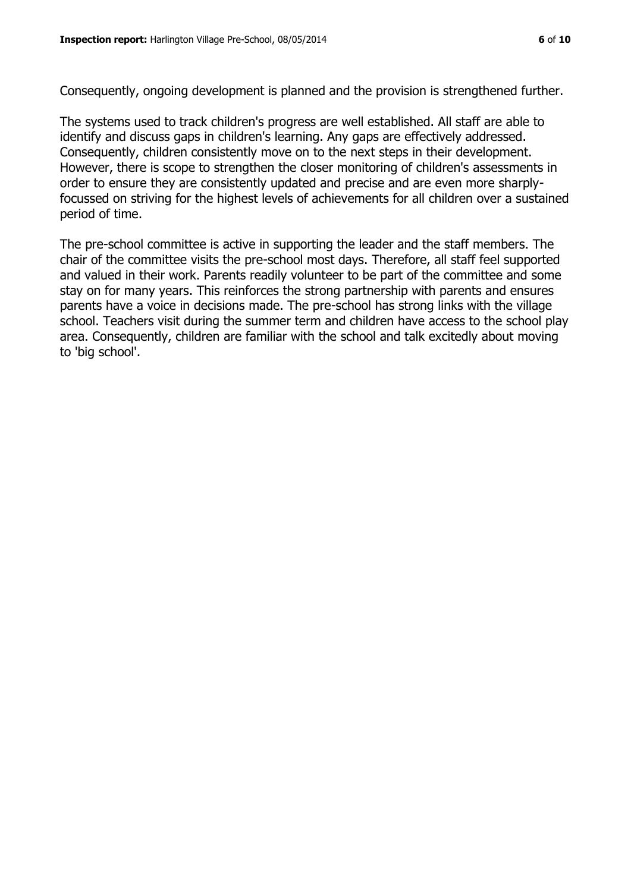Consequently, ongoing development is planned and the provision is strengthened further.

The systems used to track children's progress are well established. All staff are able to identify and discuss gaps in children's learning. Any gaps are effectively addressed. Consequently, children consistently move on to the next steps in their development. However, there is scope to strengthen the closer monitoring of children's assessments in order to ensure they are consistently updated and precise and are even more sharplyfocussed on striving for the highest levels of achievements for all children over a sustained period of time.

The pre-school committee is active in supporting the leader and the staff members. The chair of the committee visits the pre-school most days. Therefore, all staff feel supported and valued in their work. Parents readily volunteer to be part of the committee and some stay on for many years. This reinforces the strong partnership with parents and ensures parents have a voice in decisions made. The pre-school has strong links with the village school. Teachers visit during the summer term and children have access to the school play area. Consequently, children are familiar with the school and talk excitedly about moving to 'big school'.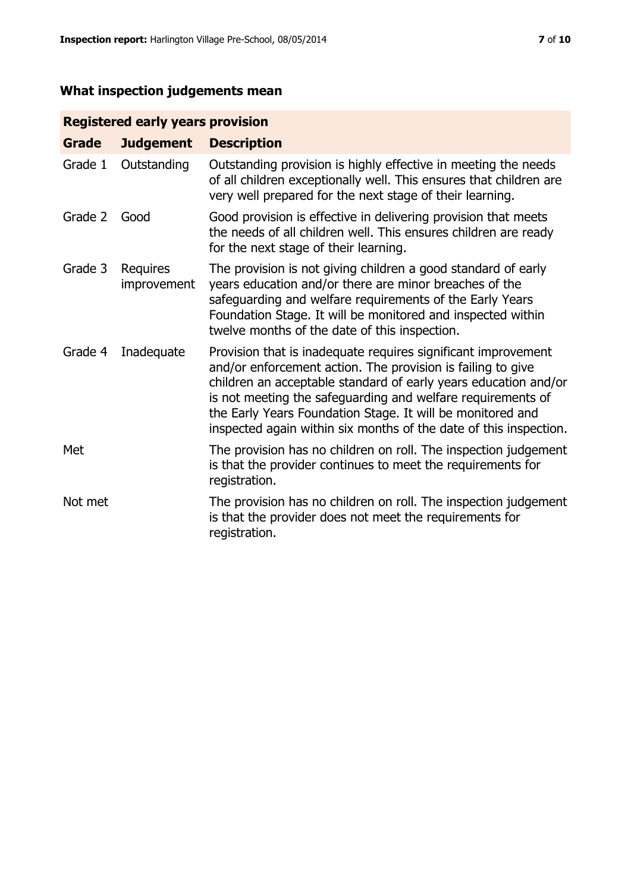# **What inspection judgements mean**

# **Registered early years provision**

| <b>Grade</b> | <b>Judgement</b>        | <b>Description</b>                                                                                                                                                                                                                                                                                                                                                                                |
|--------------|-------------------------|---------------------------------------------------------------------------------------------------------------------------------------------------------------------------------------------------------------------------------------------------------------------------------------------------------------------------------------------------------------------------------------------------|
| Grade 1      | Outstanding             | Outstanding provision is highly effective in meeting the needs<br>of all children exceptionally well. This ensures that children are<br>very well prepared for the next stage of their learning.                                                                                                                                                                                                  |
| Grade 2      | Good                    | Good provision is effective in delivering provision that meets<br>the needs of all children well. This ensures children are ready<br>for the next stage of their learning.                                                                                                                                                                                                                        |
| Grade 3      | Requires<br>improvement | The provision is not giving children a good standard of early<br>years education and/or there are minor breaches of the<br>safeguarding and welfare requirements of the Early Years<br>Foundation Stage. It will be monitored and inspected within<br>twelve months of the date of this inspection.                                                                                               |
| Grade 4      | Inadequate              | Provision that is inadequate requires significant improvement<br>and/or enforcement action. The provision is failing to give<br>children an acceptable standard of early years education and/or<br>is not meeting the safeguarding and welfare requirements of<br>the Early Years Foundation Stage. It will be monitored and<br>inspected again within six months of the date of this inspection. |
| Met          |                         | The provision has no children on roll. The inspection judgement<br>is that the provider continues to meet the requirements for<br>registration.                                                                                                                                                                                                                                                   |
| Not met      |                         | The provision has no children on roll. The inspection judgement<br>is that the provider does not meet the requirements for<br>registration.                                                                                                                                                                                                                                                       |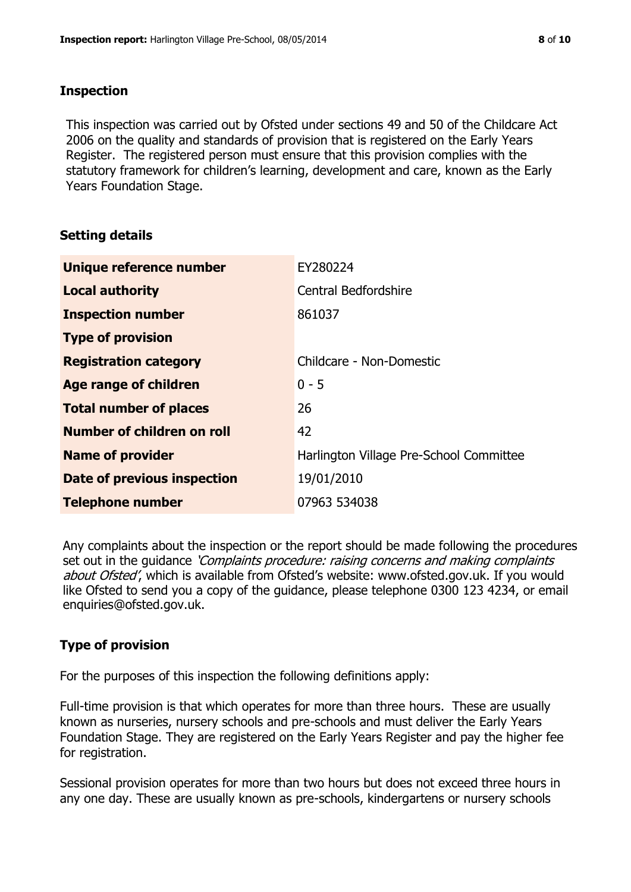#### **Inspection**

This inspection was carried out by Ofsted under sections 49 and 50 of the Childcare Act 2006 on the quality and standards of provision that is registered on the Early Years Register. The registered person must ensure that this provision complies with the statutory framework for children's learning, development and care, known as the Early Years Foundation Stage.

# **Setting details**

| Unique reference number            | EY280224                                |  |
|------------------------------------|-----------------------------------------|--|
| <b>Local authority</b>             | Central Bedfordshire                    |  |
| <b>Inspection number</b>           | 861037                                  |  |
| <b>Type of provision</b>           |                                         |  |
| <b>Registration category</b>       | Childcare - Non-Domestic                |  |
| <b>Age range of children</b>       | $0 - 5$                                 |  |
| <b>Total number of places</b>      | 26                                      |  |
| Number of children on roll         | 42                                      |  |
| <b>Name of provider</b>            | Harlington Village Pre-School Committee |  |
| <b>Date of previous inspection</b> | 19/01/2010                              |  |
| <b>Telephone number</b>            | 07963 534038                            |  |

Any complaints about the inspection or the report should be made following the procedures set out in the guidance *'Complaints procedure: raising concerns and making complaints* about Ofsted', which is available from Ofsted's website: www.ofsted.gov.uk. If you would like Ofsted to send you a copy of the guidance, please telephone 0300 123 4234, or email enquiries@ofsted.gov.uk.

# **Type of provision**

For the purposes of this inspection the following definitions apply:

Full-time provision is that which operates for more than three hours. These are usually known as nurseries, nursery schools and pre-schools and must deliver the Early Years Foundation Stage. They are registered on the Early Years Register and pay the higher fee for registration.

Sessional provision operates for more than two hours but does not exceed three hours in any one day. These are usually known as pre-schools, kindergartens or nursery schools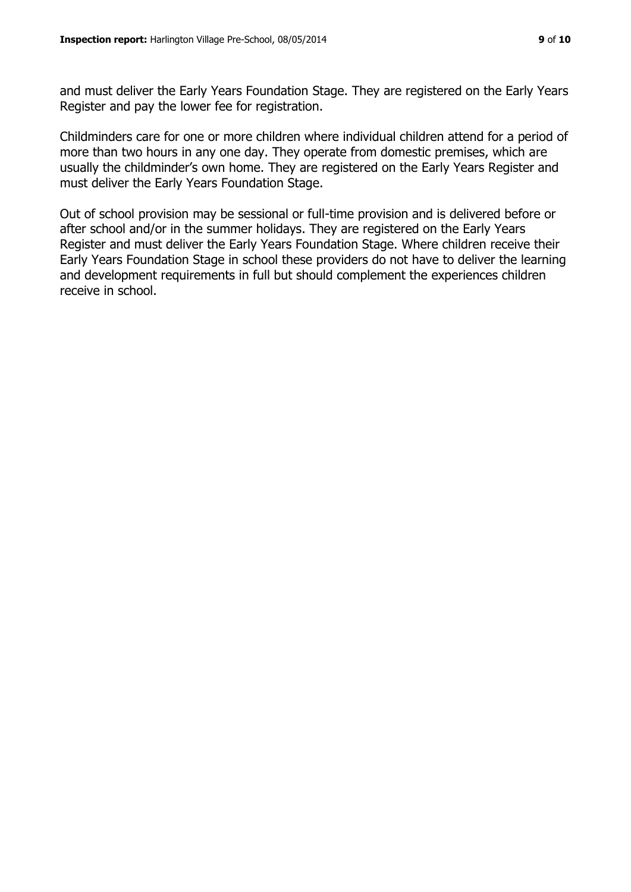and must deliver the Early Years Foundation Stage. They are registered on the Early Years Register and pay the lower fee for registration.

Childminders care for one or more children where individual children attend for a period of more than two hours in any one day. They operate from domestic premises, which are usually the childminder's own home. They are registered on the Early Years Register and must deliver the Early Years Foundation Stage.

Out of school provision may be sessional or full-time provision and is delivered before or after school and/or in the summer holidays. They are registered on the Early Years Register and must deliver the Early Years Foundation Stage. Where children receive their Early Years Foundation Stage in school these providers do not have to deliver the learning and development requirements in full but should complement the experiences children receive in school.